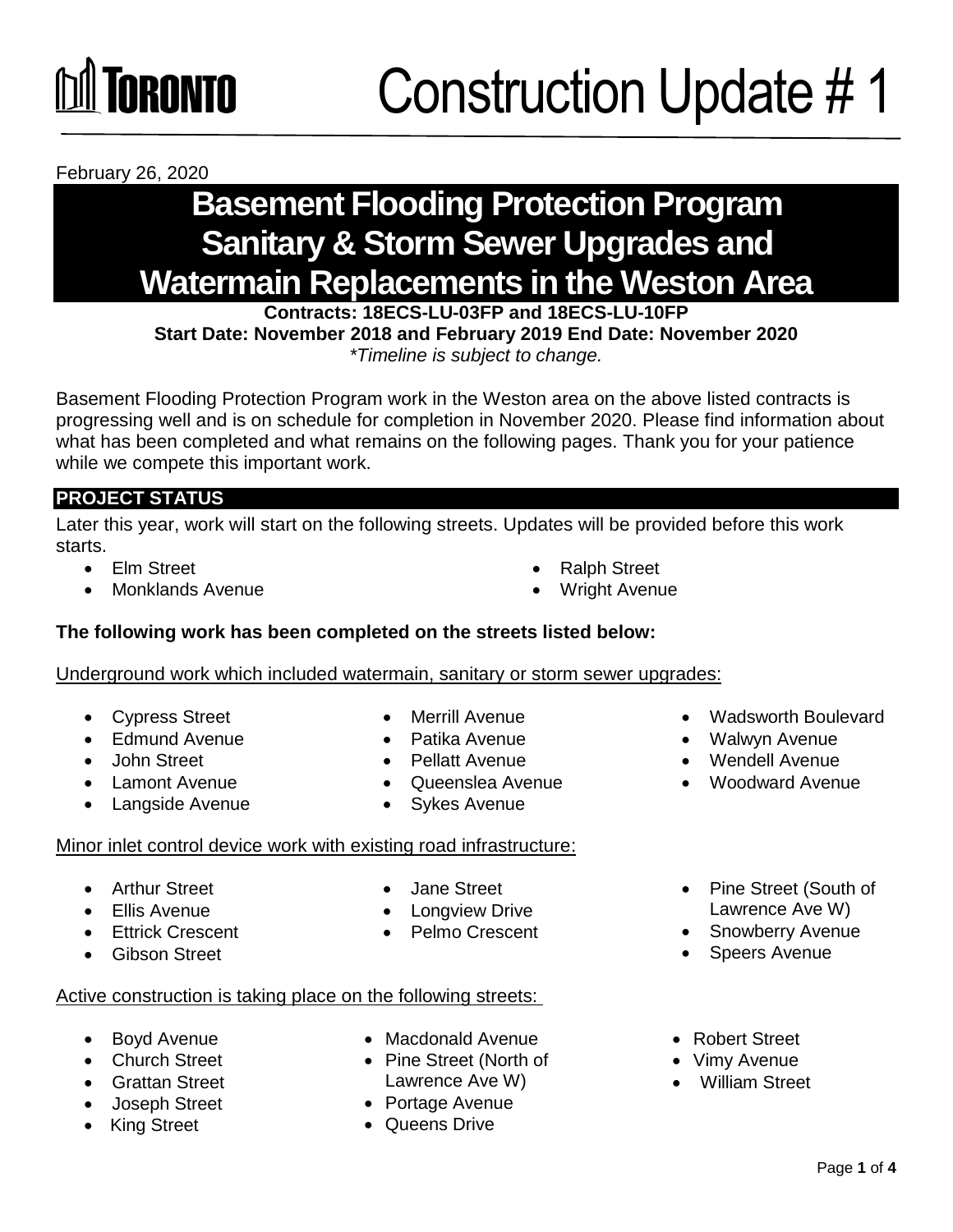February 26, 2020

## **Basement Flooding Protection Program Sanitary & Storm Sewer Upgrades and Watermain Replacements in the Weston Area**

**Contracts: 18ECS-LU-03FP and 18ECS-LU-10FP** 

**Start Date: November 2018 and February 2019 End Date: November 2020**  *\*Timeline is subject to change.*

Basement Flooding Protection Program work in the Weston area on the above listed contracts is progressing well and is on schedule for completion in November 2020. Please find information about what has been completed and what remains on the following pages. Thank you for your patience while we compete this important work.

### **PROJECT STATUS**

Later this year, work will start on the following streets. Updates will be provided before this work starts.

- 
- Monklands Avenue **Monklands** Avenue
- Elm Street **Contract Contract Contract Contract Contract Contract Contract Contract Contract Contract Contract Contract Contract Contract Contract Contract Contract Contract Contract Contract Contract Contract Contract C** 
	-
- **The following work has been completed on the streets listed below:**

Underground work which included watermain, sanitary or storm sewer upgrades:

- Cypress Street Merrill Avenue Wadsworth Boulevard
- Edmund Avenue Patika Avenue Walwyn Avenue
- 
- 
- Langside Avenue Sykes Avenue
- 
- 
- John Street Pellatt Avenue Wendell Avenue
- Lamont Avenue Queenslea Avenue Woodward Avenue
	-

### Minor inlet control device work with existing road infrastructure:

- 
- 
- 
- 

### Active construction is taking place on the following streets:

- 
- Church Street Pine Street (North of Vimy Avenue
- Grattan Street Lawrence Ave W) William Street
- Joseph Street **Canadia** Portage Avenue
- King Street **CALCE COMPANY** Cueens Drive
- 
- 
- 
- Arthur Street **Arthur Street Contains Arthur Street** Couth of Ellis Avenue Longview Drive Lawrence Ave W)
	- Ettrick Crescent **Cream Crescent Cream Pelmo Crescent Cream Cream Pelmo Crescent Cream Pelmo Cream Pelmo Cream Pelmo Cream Pelmo Cream Pelmo Cream Pelmo Cream Pelmo Cream Pelmo Cream Pelmo Cream Pelmo Cream Pelmo Cre**
	- Gibson Street Speers Avenue
	- Boyd Avenue **Constant Avenue** Macdonald Avenue **Constant Avenue** Robert Street
		-
		-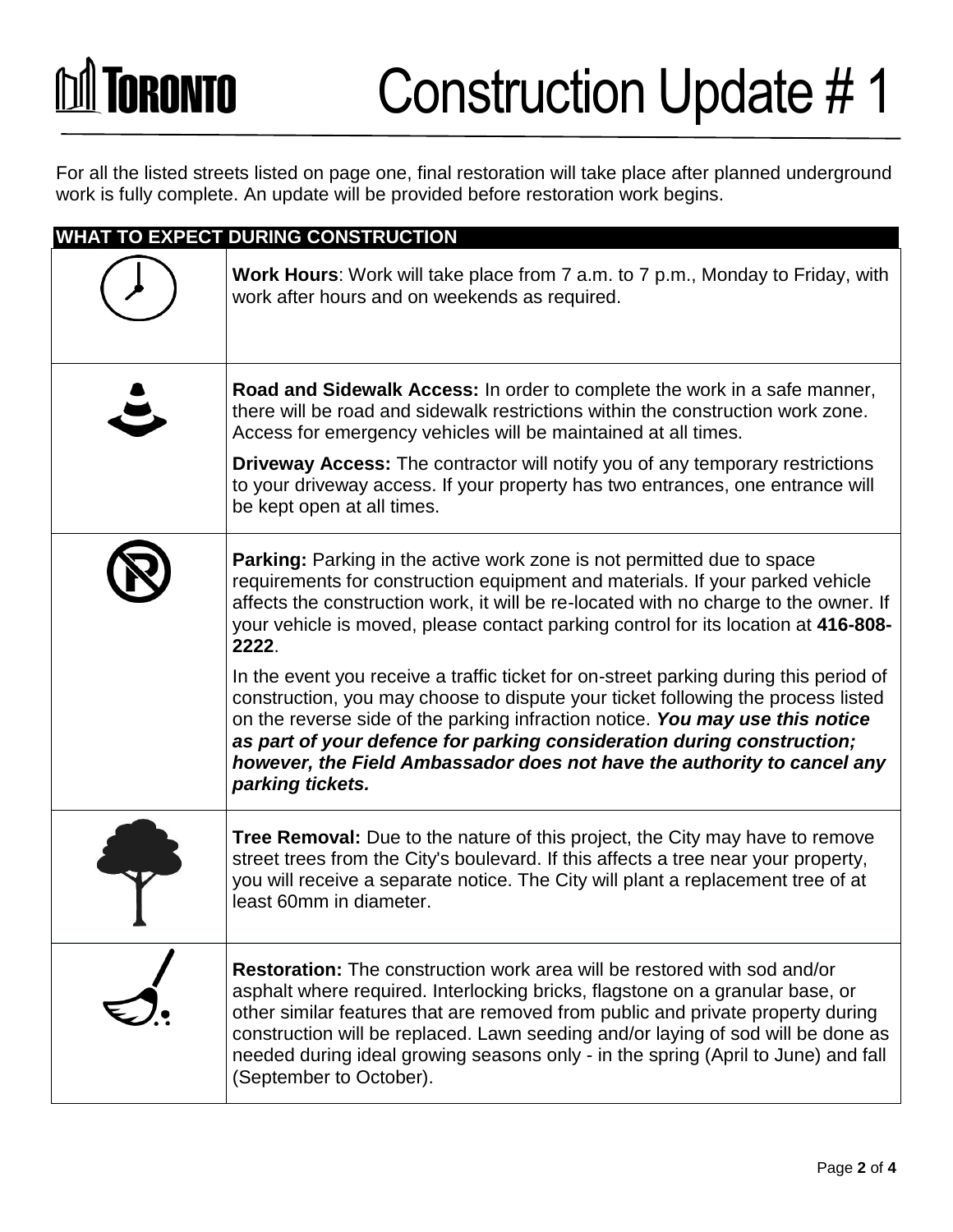# **M** TORONTO

## Construction Update # 1

For all the listed streets listed on page one, final restoration will take place after planned underground work is fully complete. An update will be provided before restoration work begins.

| <b>WHAT TO EXPECT DURING CONSTRUCTION</b> |                                                                                                                                                                                                                                                                                                                                                                                                                                                         |  |
|-------------------------------------------|---------------------------------------------------------------------------------------------------------------------------------------------------------------------------------------------------------------------------------------------------------------------------------------------------------------------------------------------------------------------------------------------------------------------------------------------------------|--|
|                                           | <b>Work Hours:</b> Work will take place from 7 a.m. to 7 p.m., Monday to Friday, with<br>work after hours and on weekends as required.                                                                                                                                                                                                                                                                                                                  |  |
|                                           | Road and Sidewalk Access: In order to complete the work in a safe manner,<br>there will be road and sidewalk restrictions within the construction work zone.<br>Access for emergency vehicles will be maintained at all times.                                                                                                                                                                                                                          |  |
|                                           | <b>Driveway Access:</b> The contractor will notify you of any temporary restrictions<br>to your driveway access. If your property has two entrances, one entrance will<br>be kept open at all times.                                                                                                                                                                                                                                                    |  |
|                                           | <b>Parking:</b> Parking in the active work zone is not permitted due to space<br>requirements for construction equipment and materials. If your parked vehicle<br>affects the construction work, it will be re-located with no charge to the owner. If<br>your vehicle is moved, please contact parking control for its location at 416-808-<br>2222.                                                                                                   |  |
|                                           | In the event you receive a traffic ticket for on-street parking during this period of<br>construction, you may choose to dispute your ticket following the process listed<br>on the reverse side of the parking infraction notice. You may use this notice<br>as part of your defence for parking consideration during construction;<br>however, the Field Ambassador does not have the authority to cancel any<br>parking tickets.                     |  |
|                                           | Tree Removal: Due to the nature of this project, the City may have to remove<br>street trees from the City's boulevard. If this affects a tree near your property,<br>you will receive a separate notice. The City will plant a replacement tree of at<br>least 60mm in diameter.                                                                                                                                                                       |  |
|                                           | <b>Restoration:</b> The construction work area will be restored with sod and/or<br>asphalt where required. Interlocking bricks, flagstone on a granular base, or<br>other similar features that are removed from public and private property during<br>construction will be replaced. Lawn seeding and/or laying of sod will be done as<br>needed during ideal growing seasons only - in the spring (April to June) and fall<br>(September to October). |  |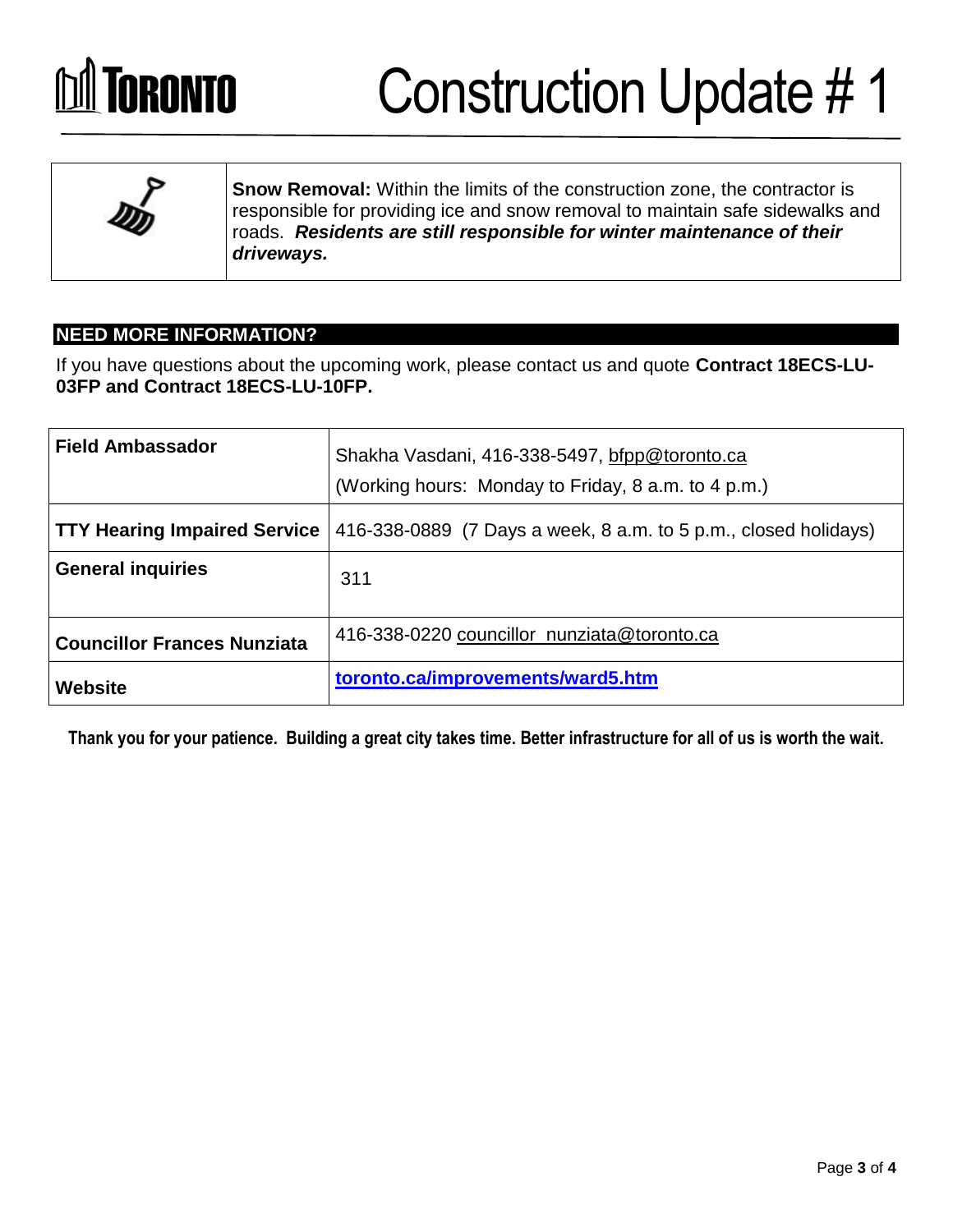## **Independent Construction Update #1**



**Snow Removal:** Within the limits of the construction zone, the contractor is responsible for providing ice and snow removal to maintain safe sidewalks and roads. *Residents are still responsible for winter maintenance of their driveways.*

### **NEED MORE INFORMATION?**

If you have questions about the upcoming work, please contact us and quote **Contract 18ECS-LU-03FP and Contract 18ECS-LU-10FP.** 

| <b>Field Ambassador</b>             | Shakha Vasdani, 416-338-5497, bfpp@toronto.ca<br>(Working hours: Monday to Friday, 8 a.m. to 4 p.m.) |
|-------------------------------------|------------------------------------------------------------------------------------------------------|
| <b>TTY Hearing Impaired Service</b> | 416-338-0889 (7 Days a week, 8 a.m. to 5 p.m., closed holidays)                                      |
| <b>General inquiries</b>            | 311                                                                                                  |
| <b>Councillor Frances Nunziata</b>  | 416-338-0220 councillor_nunziata@toronto.ca                                                          |
| <b>Website</b>                      | toronto.ca/improvements/ward5.htm                                                                    |

**Thank you for your patience. Building a great city takes time. Better infrastructure for all of us is worth the wait.**